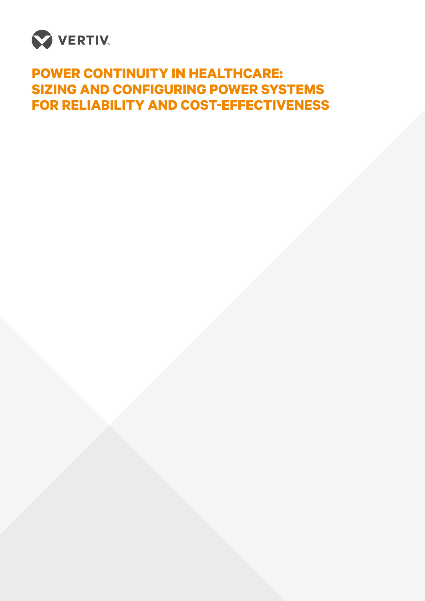

# **POWER CONTINUITY IN HEALTHCARE: SIZING AND CONFIGURING POWER SYSTEMS FOR RELIABILITY AND COST-EFFECTIVENESS**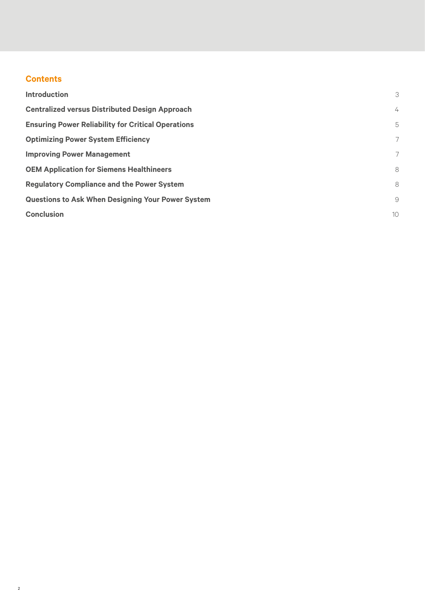## **Contents**

| <b>Introduction</b>                                       | 3              |
|-----------------------------------------------------------|----------------|
| <b>Centralized versus Distributed Design Approach</b>     | $\overline{4}$ |
| <b>Ensuring Power Reliability for Critical Operations</b> | 5              |
| <b>Optimizing Power System Efficiency</b>                 | 7              |
| <b>Improving Power Management</b>                         | 7              |
| <b>OEM Application for Siemens Healthineers</b>           | 8              |
| <b>Regulatory Compliance and the Power System</b>         | 8              |
| <b>Questions to Ask When Designing Your Power System</b>  | 9              |
| <b>Conclusion</b>                                         | 10             |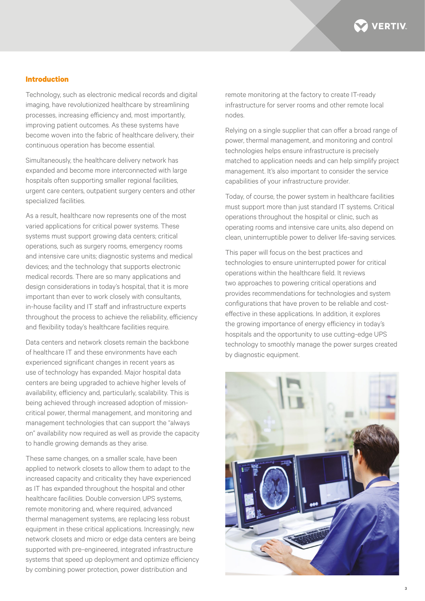

## **Introduction**

Technology, such as electronic medical records and digital imaging, have revolutionized healthcare by streamlining processes, increasing efficiency and, most importantly, improving patient outcomes. As these systems have become woven into the fabric of healthcare delivery, their continuous operation has become essential.

Simultaneously, the healthcare delivery network has expanded and become more interconnected with large hospitals often supporting smaller regional facilities, urgent care centers, outpatient surgery centers and other specialized facilities.

As a result, healthcare now represents one of the most varied applications for critical power systems. These systems must support growing data centers; critical operations, such as surgery rooms, emergency rooms and intensive care units; diagnostic systems and medical devices; and the technology that supports electronic medical records. There are so many applications and design considerations in today's hospital, that it is more important than ever to work closely with consultants, in-house facility and IT staff and infrastructure experts throughout the process to achieve the reliability, efficiency and flexibility today's healthcare facilities require.

Data centers and network closets remain the backbone of healthcare IT and these environments have each experienced significant changes in recent years as use of technology has expanded. Major hospital data centers are being upgraded to achieve higher levels of availability, efficiency and, particularly, scalability. This is being achieved through increased adoption of missioncritical power, thermal management, and monitoring and management technologies that can support the "always on" availability now required as well as provide the capacity to handle growing demands as they arise.

These same changes, on a smaller scale, have been applied to network closets to allow them to adapt to the increased capacity and criticality they have experienced as IT has expanded throughout the hospital and other healthcare facilities. Double conversion UPS systems, remote monitoring and, where required, advanced thermal management systems, are replacing less robust equipment in these critical applications. Increasingly, new network closets and micro or edge data centers are being supported with pre-engineered, integrated infrastructure systems that speed up deployment and optimize efficiency by combining power protection, power distribution and

remote monitoring at the factory to create IT-ready infrastructure for server rooms and other remote local nodes.

Relying on a single supplier that can offer a broad range of power, thermal management, and monitoring and control technologies helps ensure infrastructure is precisely matched to application needs and can help simplify project management. It's also important to consider the service capabilities of your infrastructure provider.

Today, of course, the power system in healthcare facilities must support more than just standard IT systems. Critical operations throughout the hospital or clinic, such as operating rooms and intensive care units, also depend on clean, uninterruptible power to deliver life-saving services.

This paper will focus on the best practices and technologies to ensure uninterrupted power for critical operations within the healthcare field. It reviews two approaches to powering critical operations and provides recommendations for technologies and system configurations that have proven to be reliable and costeffective in these applications. In addition, it explores the growing importance of energy efficiency in today's hospitals and the opportunity to use cutting-edge UPS technology to smoothly manage the power surges created by diagnostic equipment.

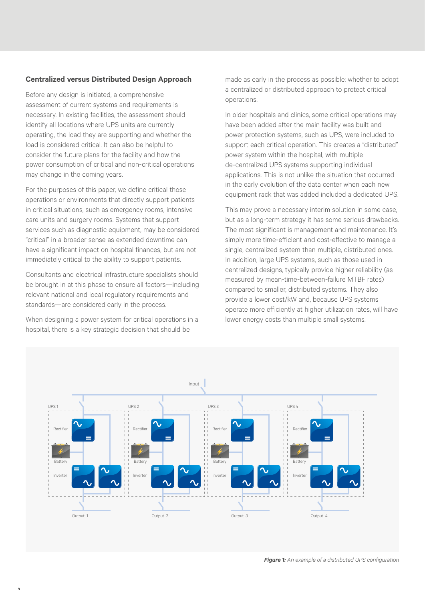## **Centralized versus Distributed Design Approach**

Before any design is initiated, a comprehensive assessment of current systems and requirements is necessary. In existing facilities, the assessment should identify all locations where UPS units are currently operating, the load they are supporting and whether the load is considered critical. It can also be helpful to consider the future plans for the facility and how the power consumption of critical and non-critical operations may change in the coming years.

For the purposes of this paper, we define critical those operations or environments that directly support patients in critical situations, such as emergency rooms, intensive care units and surgery rooms. Systems that support services such as diagnostic equipment, may be considered "critical" in a broader sense as extended downtime can have a significant impact on hospital finances, but are not immediately critical to the ability to support patients.

Consultants and electrical infrastructure specialists should be brought in at this phase to ensure all factors—including relevant national and local regulatory requirements and standards—are considered early in the process.

When designing a power system for critical operations in a hospital, there is a key strategic decision that should be

made as early in the process as possible: whether to adopt a centralized or distributed approach to protect critical operations.

In older hospitals and clinics, some critical operations may have been added after the main facility was built and power protection systems, such as UPS, were included to support each critical operation. This creates a "distributed" power system within the hospital, with multiple de-centralized UPS systems supporting individual applications. This is not unlike the situation that occurred in the early evolution of the data center when each new equipment rack that was added included a dedicated UPS.

This may prove a necessary interim solution in some case, but as a long-term strategy it has some serious drawbacks. The most significant is management and maintenance. It's simply more time-efficient and cost-effective to manage a single, centralized system than multiple, distributed ones. In addition, large UPS systems, such as those used in centralized designs, typically provide higher reliability (as measured by mean-time-between-failure MTBF rates) compared to smaller, distributed systems. They also provide a lower cost/kW and, because UPS systems operate more efficiently at higher utilization rates, will have lower energy costs than multiple small systems.

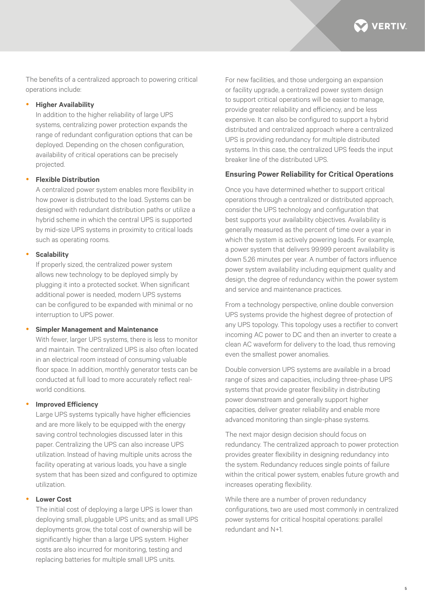

The benefits of a centralized approach to powering critical operations include:

## y **Higher Availability**

In addition to the higher reliability of large UPS systems, centralizing power protection expands the range of redundant configuration options that can be deployed. Depending on the chosen configuration, availability of critical operations can be precisely projected.

## y **Flexible Distribution**

A centralized power system enables more flexibility in how power is distributed to the load. Systems can be designed with redundant distribution paths or utilize a hybrid scheme in which the central UPS is supported by mid-size UPS systems in proximity to critical loads such as operating rooms.

## y **Scalability**

If properly sized, the centralized power system allows new technology to be deployed simply by plugging it into a protected socket. When significant additional power is needed, modern UPS systems can be configured to be expanded with minimal or no interruption to UPS power.

#### **Simpler Management and Maintenance**

With fewer, larger UPS systems, there is less to monitor and maintain. The centralized UPS is also often located in an electrical room instead of consuming valuable floor space. In addition, monthly generator tests can be conducted at full load to more accurately reflect realworld conditions.

## **Improved Efficiency**

Large UPS systems typically have higher efficiencies and are more likely to be equipped with the energy saving control technologies discussed later in this paper. Centralizing the UPS can also increase UPS utilization. Instead of having multiple units across the facility operating at various loads, you have a single system that has been sized and configured to optimize utilization.

## **Lower Cost**

The initial cost of deploying a large UPS is lower than deploying small, pluggable UPS units; and as small UPS deployments grow, the total cost of ownership will be significantly higher than a large UPS system. Higher costs are also incurred for monitoring, testing and replacing batteries for multiple small UPS units.

For new facilities, and those undergoing an expansion or facility upgrade, a centralized power system design to support critical operations will be easier to manage, provide greater reliability and efficiency, and be less expensive. It can also be configured to support a hybrid distributed and centralized approach where a centralized UPS is providing redundancy for multiple distributed systems. In this case, the centralized UPS feeds the input breaker line of the distributed UPS.

## **Ensuring Power Reliability for Critical Operations**

Once you have determined whether to support critical operations through a centralized or distributed approach, consider the UPS technology and configuration that best supports your availability objectives. Availability is generally measured as the percent of time over a year in which the system is actively powering loads. For example, a power system that delivers 99.999 percent availability is down 5.26 minutes per year. A number of factors influence power system availability including equipment quality and design, the degree of redundancy within the power system and service and maintenance practices.

From a technology perspective, online double conversion UPS systems provide the highest degree of protection of any UPS topology. This topology uses a rectifier to convert incoming AC power to DC and then an inverter to create a clean AC waveform for delivery to the load, thus removing even the smallest power anomalies.

Double conversion UPS systems are available in a broad range of sizes and capacities, including three-phase UPS systems that provide greater flexibility in distributing power downstream and generally support higher capacities, deliver greater reliability and enable more advanced monitoring than single-phase systems.

The next major design decision should focus on redundancy. The centralized approach to power protection provides greater flexibility in designing redundancy into the system. Redundancy reduces single points of failure within the critical power system, enables future growth and increases operating flexibility.

While there are a number of proven redundancy configurations, two are used most commonly in centralized power systems for critical hospital operations: parallel redundant and N+1.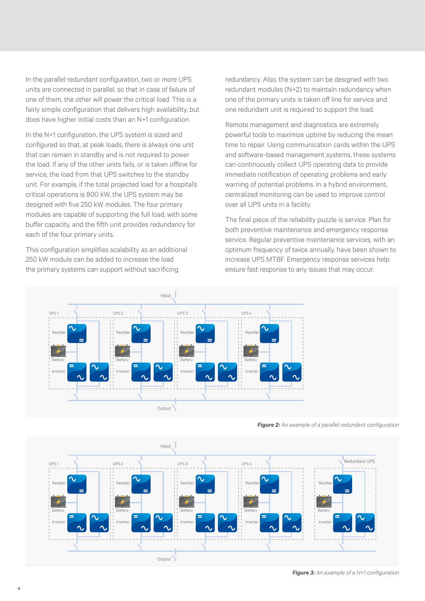In the parallel redundant configuration, two or more UPS units are connected in parallel, so that in case of failure of one of them, the other will power the critical load. This is a fairly simple configuration that delivers high availability, but does have higher initial costs than an N+1 configuration.

In the N+1 configuration, the UPS system is sized and configured so that, at peak loads, there is always one unit that can remain in standby and is not required to power the load. If any of the other units fails, or is taken offline for service, the load from that UPS switches to the standby unit. For example, if the total projected load for a hospital's critical operations is 800 kW, the UPS system may be designed with five 250 kW modules. The four primary modules are capable of supporting the full load, with some buffer capacity, and the fifth unit provides redundancy for each of the four primary units.

This configuration simplifies scalability as an additional 250 kW module can be added to increase the load the primary systems can support without sacrificing

redundancy. Also, the system can be designed with two redundant modules (N+2) to maintain redundancy when one of the primary units is taken off line for service and one redundant unit is required to support the load.

Remote management and diagnostics are extremely powerful tools to maximize uptime by reducing the mean time to repair. Using communication cards within the UPS and software-based management systems, these systems can continuously collect UPS operating data to provide immediate notification of operating problems and early warning of potential problems. In a hybrid environment, centralized monitoring can be used to improve control over all UPS units in a facility.

The final piece of the reliability puzzle is service. Plan for both preventive maintenance and emergency response service. Regular preventive maintenance services, with an optimum frequency of twice annually, have been shown to increase UPS MTBF. Emergency response services help ensure fast response to any issues that may occur.



*Figure 2: An example of a parallel redundant configuration* 



*Figure 3: An example of a N+1 configuration*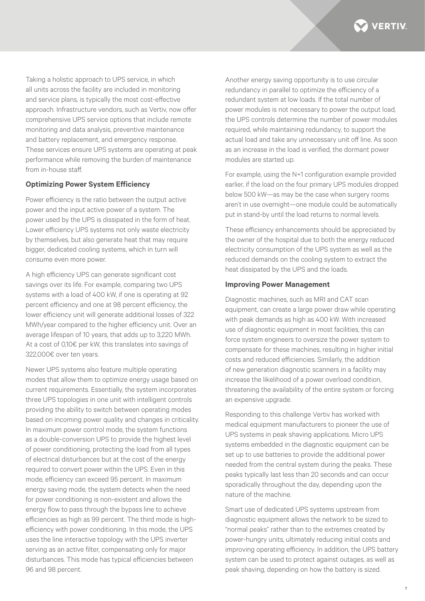

Taking a holistic approach to UPS service, in which all units across the facility are included in monitoring and service plans, is typically the most cost-effective approach. Infrastructure vendors, such as Vertiv, now offer comprehensive UPS service options that include remote monitoring and data analysis, preventive maintenance and battery replacement, and emergency response. These services ensure UPS systems are operating at peak performance while removing the burden of maintenance from in-house staff.

## **Optimizing Power System Efficiency**

Power efficiency is the ratio between the output active power and the input active power of a system. The power used by the UPS is dissipated in the form of heat. Lower efficiency UPS systems not only waste electricity by themselves, but also generate heat that may require bigger, dedicated cooling systems, which in turn will consume even more power.

A high efficiency UPS can generate significant cost savings over its life. For example, comparing two UPS systems with a load of 400 kW, if one is operating at 92 percent efficiency and one at 98 percent efficiency, the lower efficiency unit will generate additional losses of 322 MWh/year compared to the higher efficiency unit. Over an average lifespan of 10 years, that adds up to 3,220 MWh. At a cost of 0,10€ per kW, this translates into savings of 322,000€ over ten years.

Newer UPS systems also feature multiple operating modes that allow them to optimize energy usage based on current requirements. Essentially, the system incorporates three UPS topologies in one unit with intelligent controls providing the ability to switch between operating modes based on incoming power quality and changes in criticality. In maximum power control mode, the system functions as a double-conversion UPS to provide the highest level of power conditioning, protecting the load from all types of electrical disturbances but at the cost of the energy required to convert power within the UPS. Even in this mode, efficiency can exceed 95 percent. In maximum energy saving mode, the system detects when the need for power conditioning is non-existent and allows the energy flow to pass through the bypass line to achieve efficiencies as high as 99 percent. The third mode is highefficiency with power conditioning. In this mode, the UPS uses the line interactive topology with the UPS inverter serving as an active filter, compensating only for major disturbances. This mode has typical efficiencies between 96 and 98 percent.

Another energy saving opportunity is to use circular redundancy in parallel to optimize the efficiency of a redundant system at low loads. If the total number of power modules is not necessary to power the output load, the UPS controls determine the number of power modules required, while maintaining redundancy, to support the actual load and take any unnecessary unit off line. As soon as an increase in the load is verified, the dormant power modules are started up.

For example, using the N+1 configuration example provided earlier, if the load on the four primary UPS modules dropped below 500 kW—as may be the case when surgery rooms aren't in use overnight—one module could be automatically put in stand-by until the load returns to normal levels.

These efficiency enhancements should be appreciated by the owner of the hospital due to both the energy reduced electricity consumption of the UPS system as well as the reduced demands on the cooling system to extract the heat dissipated by the UPS and the loads.

#### **Improving Power Management**

Diagnostic machines, such as MRI and CAT scan equipment, can create a large power draw while operating with peak demands as high as 400 kW. With increased use of diagnostic equipment in most facilities, this can force system engineers to oversize the power system to compensate for these machines, resulting in higher initial costs and reduced efficiencies. Similarly, the addition of new generation diagnostic scanners in a facility may increase the likelihood of a power overload condition, threatening the availability of the entire system or forcing an expensive upgrade.

Responding to this challenge Vertiv has worked with medical equipment manufacturers to pioneer the use of UPS systems in peak shaving applications. Micro UPS systems embedded in the diagnostic equipment can be set up to use batteries to provide the additional power needed from the central system during the peaks. These peaks typically last less than 20 seconds and can occur sporadically throughout the day, depending upon the nature of the machine.

Smart use of dedicated UPS systems upstream from diagnostic equipment allows the network to be sized to "normal peaks" rather than to the extremes created by power-hungry units, ultimately reducing initial costs and improving operating efficiency. In addition, the UPS battery system can be used to protect against outages, as well as peak shaving, depending on how the battery is sized.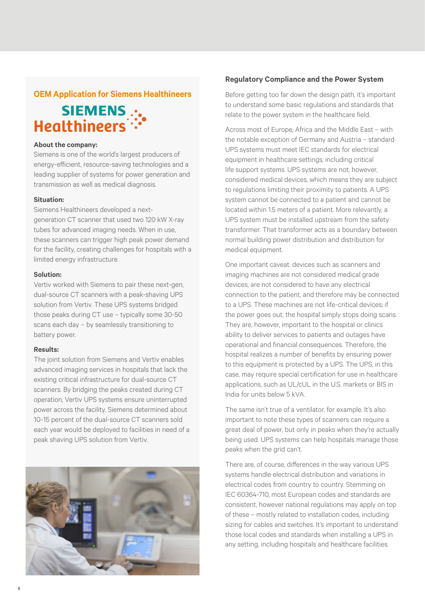## **OEM Application for Siemens Healthineers**

# SIEMENS .. Healthineers<sup>::</sup>

#### **About the company:**

Siemens is one of the world's largest producers of energy-efficient, resource-saving technologies and a leading supplier of systems for power generation and transmission as well as medical diagnosis.

## **Situation:**

Siemens Healthineers developed a nextgeneration CT scanner that used two 120 kW X-ray tubes for advanced imaging needs. When in use, these scanners can trigger high peak power demand for the facility, creating challenges for hospitals with a limited energy infrastructure.

#### **Solution:**

Vertiv worked with Siemens to pair these next-gen, dual-source CT scanners with a peak-shaving UPS solution from Vertiv. These UPS systems bridged those peaks during CT use – typically some 30-50 scans each day – by seamlessly transitioning to battery power.

## **Results:**

8

The joint solution from Siemens and Vertiv enables advanced imaging services in hospitals that lack the existing critical infrastructure for dual-source CT scanners. By bridging the peaks created during CT operation, Vertiv UPS systems ensure uninterrupted power across the facility. Siemens determined about 10-15 percent of the dual-source CT scanners sold each year would be deployed to facilities in need of a peak shaving UPS solution from Vertiv.



#### **Regulatory Compliance and the Power System**

Before getting too far down the design path, it's important to understand some basic regulations and standards that relate to the power system in the healthcare field.

Across most of Europe, Africa and the Middle East – with the notable exception of Germany and Austria – standard UPS systems must meet IEC standards for electrical equipment in healthcare settings, including critical life support systems. UPS systems are not, however, considered medical devices, which means they are subject to regulations limiting their proximity to patients. A UPS system cannot be connected to a patient and cannot be located within 1.5 meters of a patient. More relevantly, a UPS system must be installed upstream from the safety transformer. That transformer acts as a boundary between normal building power distribution and distribution for medical equipment.

One important caveat: devices such as scanners and imaging machines are not considered medical grade devices, are not considered to have any electrical connection to the patient, and therefore may be connected to a UPS. These machines are not life-critical devices; if the power goes out, the hospital simply stops doing scans. They are, however, important to the hospital or clinics ability to deliver services to patients and outages have operational and financial consequences. Therefore, the hospital realizes a number of benefits by ensuring power to this equipment is protected by a UPS. The UPS, in this case, may require special certification for use in healthcare applications, such as UL/cUL in the U.S. markets or BIS in India for units below 5 kVA.

The same isn't true of a ventilator, for example. It's also important to note these types of scanners can require a great deal of power, but only in peaks when they're actually being used. UPS systems can help hospitals manage those peaks when the grid can't.

There are, of course, differences in the way various UPS systems handle electrical distribution and variations in electrical codes from country to country. Stemming on IEC 60364-710, most European codes and standards are consistent, however national regulations may apply on top of these – mostly related to installation codes, including sizing for cables and switches. It's important to understand those local codes and standards when installing a UPS in any setting, including hospitals and healthcare facilities.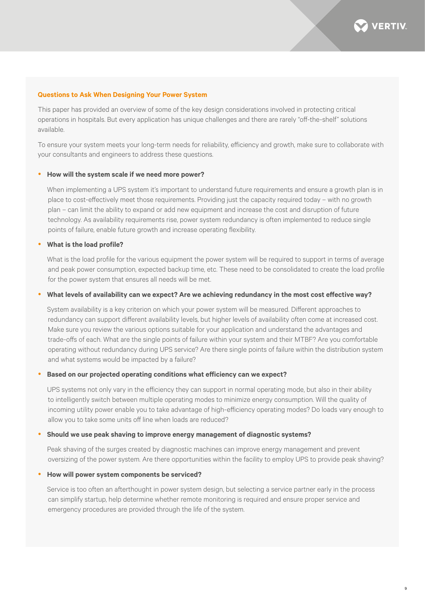

9

#### **Questions to Ask When Designing Your Power System**

This paper has provided an overview of some of the key design considerations involved in protecting critical operations in hospitals. But every application has unique challenges and there are rarely "off-the-shelf" solutions available.

To ensure your system meets your long-term needs for reliability, efficiency and growth, make sure to collaborate with your consultants and engineers to address these questions.

#### **• How will the system scale if we need more power?**

When implementing a UPS system it's important to understand future requirements and ensure a growth plan is in place to cost-effectively meet those requirements. Providing just the capacity required today – with no growth plan – can limit the ability to expand or add new equipment and increase the cost and disruption of future technology. As availability requirements rise, power system redundancy is often implemented to reduce single points of failure, enable future growth and increase operating flexibility.

#### **•** What is the load profile?

What is the load profile for the various equipment the power system will be required to support in terms of average and peak power consumption, expected backup time, etc. These need to be consolidated to create the load profile for the power system that ensures all needs will be met.

#### **• What levels of availability can we expect? Are we achieving redundancy in the most cost effective way?**

System availability is a key criterion on which your power system will be measured. Different approaches to redundancy can support different availability levels, but higher levels of availability often come at increased cost. Make sure you review the various options suitable for your application and understand the advantages and trade-offs of each. What are the single points of failure within your system and their MTBF? Are you comfortable operating without redundancy during UPS service? Are there single points of failure within the distribution system and what systems would be impacted by a failure?

#### **Based on our projected operating conditions what efficiency can we expect?**

UPS systems not only vary in the efficiency they can support in normal operating mode, but also in their ability to intelligently switch between multiple operating modes to minimize energy consumption. Will the quality of incoming utility power enable you to take advantage of high-efficiency operating modes? Do loads vary enough to allow you to take some units off line when loads are reduced?

#### **Should we use peak shaving to improve energy management of diagnostic systems?**

Peak shaving of the surges created by diagnostic machines can improve energy management and prevent oversizing of the power system. Are there opportunities within the facility to employ UPS to provide peak shaving?

## How will power system components be serviced?

Service is too often an afterthought in power system design, but selecting a service partner early in the process can simplify startup, help determine whether remote monitoring is required and ensure proper service and emergency procedures are provided through the life of the system.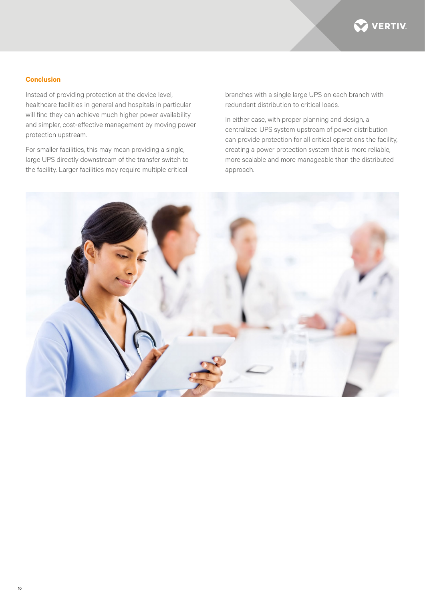

## **Conclusion**

Instead of providing protection at the device level, healthcare facilities in general and hospitals in particular will find they can achieve much higher power availability and simpler, cost-effective management by moving power protection upstream.

For smaller facilities, this may mean providing a single, large UPS directly downstream of the transfer switch to the facility. Larger facilities may require multiple critical

branches with a single large UPS on each branch with redundant distribution to critical loads.

In either case, with proper planning and design, a centralized UPS system upstream of power distribution can provide protection for all critical operations the facility, creating a power protection system that is more reliable, more scalable and more manageable than the distributed approach.